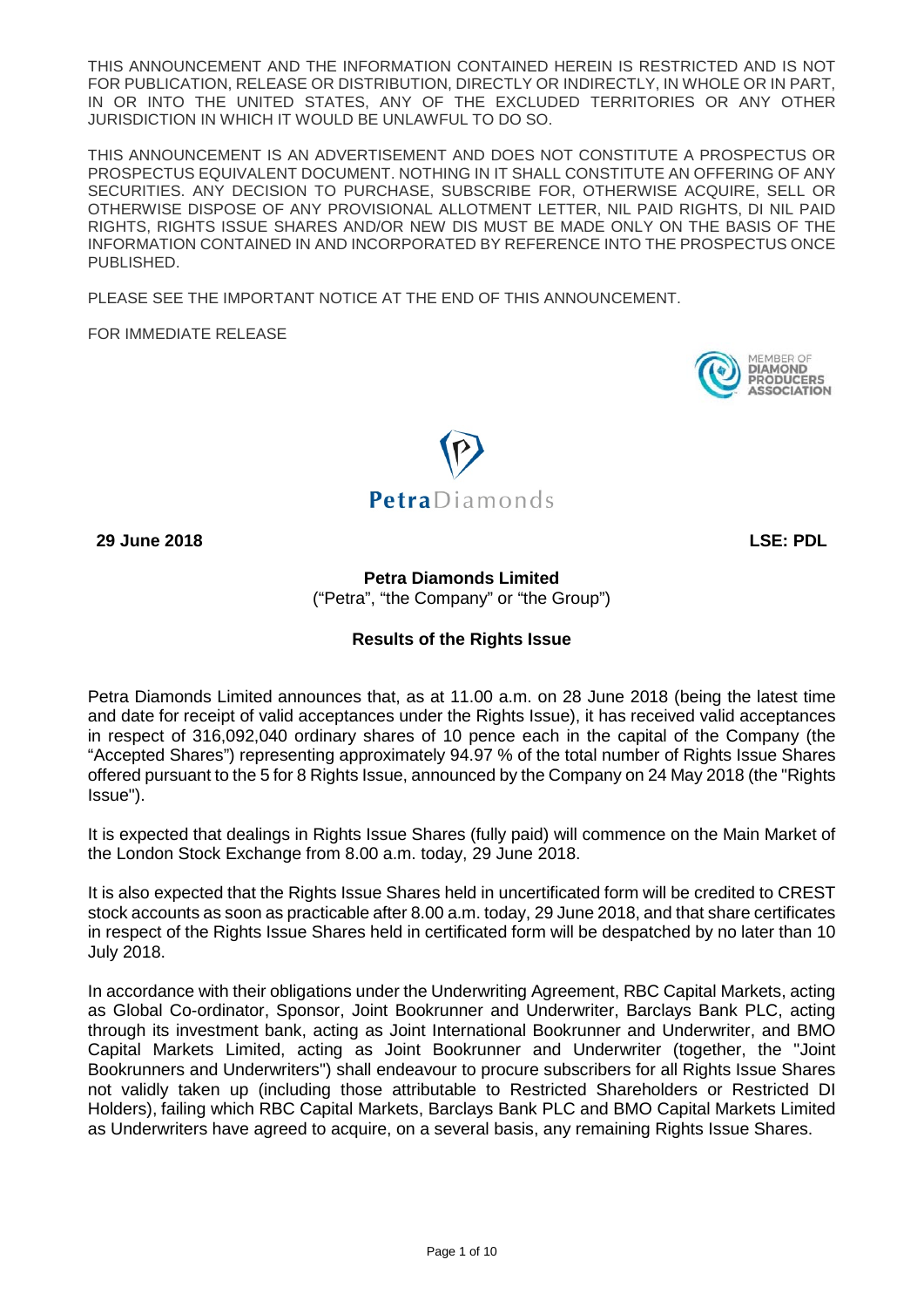THIS ANNOUNCEMENT AND THE INFORMATION CONTAINED HEREIN IS RESTRICTED AND IS NOT FOR PUBLICATION, RELEASE OR DISTRIBUTION, DIRECTLY OR INDIRECTLY, IN WHOLE OR IN PART, IN OR INTO THE UNITED STATES, ANY OF THE EXCLUDED TERRITORIES OR ANY OTHER JURISDICTION IN WHICH IT WOULD BE UNLAWFUL TO DO SO.

THIS ANNOUNCEMENT IS AN ADVERTISEMENT AND DOES NOT CONSTITUTE A PROSPECTUS OR PROSPECTUS EQUIVALENT DOCUMENT. NOTHING IN IT SHALL CONSTITUTE AN OFFERING OF ANY SECURITIES. ANY DECISION TO PURCHASE, SUBSCRIBE FOR, OTHERWISE ACQUIRE, SELL OR OTHERWISE DISPOSE OF ANY PROVISIONAL ALLOTMENT LETTER, NIL PAID RIGHTS, DI NIL PAID RIGHTS, RIGHTS ISSUE SHARES AND/OR NEW DIS MUST BE MADE ONLY ON THE BASIS OF THE INFORMATION CONTAINED IN AND INCORPORATED BY REFERENCE INTO THE PROSPECTUS ONCE PUBLISHED.

PLEASE SEE THE IMPORTANT NOTICE AT THE END OF THIS ANNOUNCEMENT.

FOR IMMEDIATE RELEASE





**29 June 2018 LSE: PDL**

**Petra Diamonds Limited**  ("Petra", "the Company" or "the Group")

# **Results of the Rights Issue**

Petra Diamonds Limited announces that, as at 11.00 a.m. on 28 June 2018 (being the latest time and date for receipt of valid acceptances under the Rights Issue), it has received valid acceptances in respect of 316,092,040 ordinary shares of 10 pence each in the capital of the Company (the "Accepted Shares") representing approximately 94.97 % of the total number of Rights Issue Shares offered pursuant to the 5 for 8 Rights Issue, announced by the Company on 24 May 2018 (the "Rights Issue").

It is expected that dealings in Rights Issue Shares (fully paid) will commence on the Main Market of the London Stock Exchange from 8.00 a.m. today, 29 June 2018.

It is also expected that the Rights Issue Shares held in uncertificated form will be credited to CREST stock accounts as soon as practicable after 8.00 a.m. today, 29 June 2018, and that share certificates in respect of the Rights Issue Shares held in certificated form will be despatched by no later than 10 July 2018.

In accordance with their obligations under the Underwriting Agreement, RBC Capital Markets, acting as Global Co-ordinator, Sponsor, Joint Bookrunner and Underwriter, Barclays Bank PLC, acting through its investment bank, acting as Joint International Bookrunner and Underwriter, and BMO Capital Markets Limited, acting as Joint Bookrunner and Underwriter (together, the "Joint Bookrunners and Underwriters") shall endeavour to procure subscribers for all Rights Issue Shares not validly taken up (including those attributable to Restricted Shareholders or Restricted DI Holders), failing which RBC Capital Markets, Barclays Bank PLC and BMO Capital Markets Limited as Underwriters have agreed to acquire, on a several basis, any remaining Rights Issue Shares.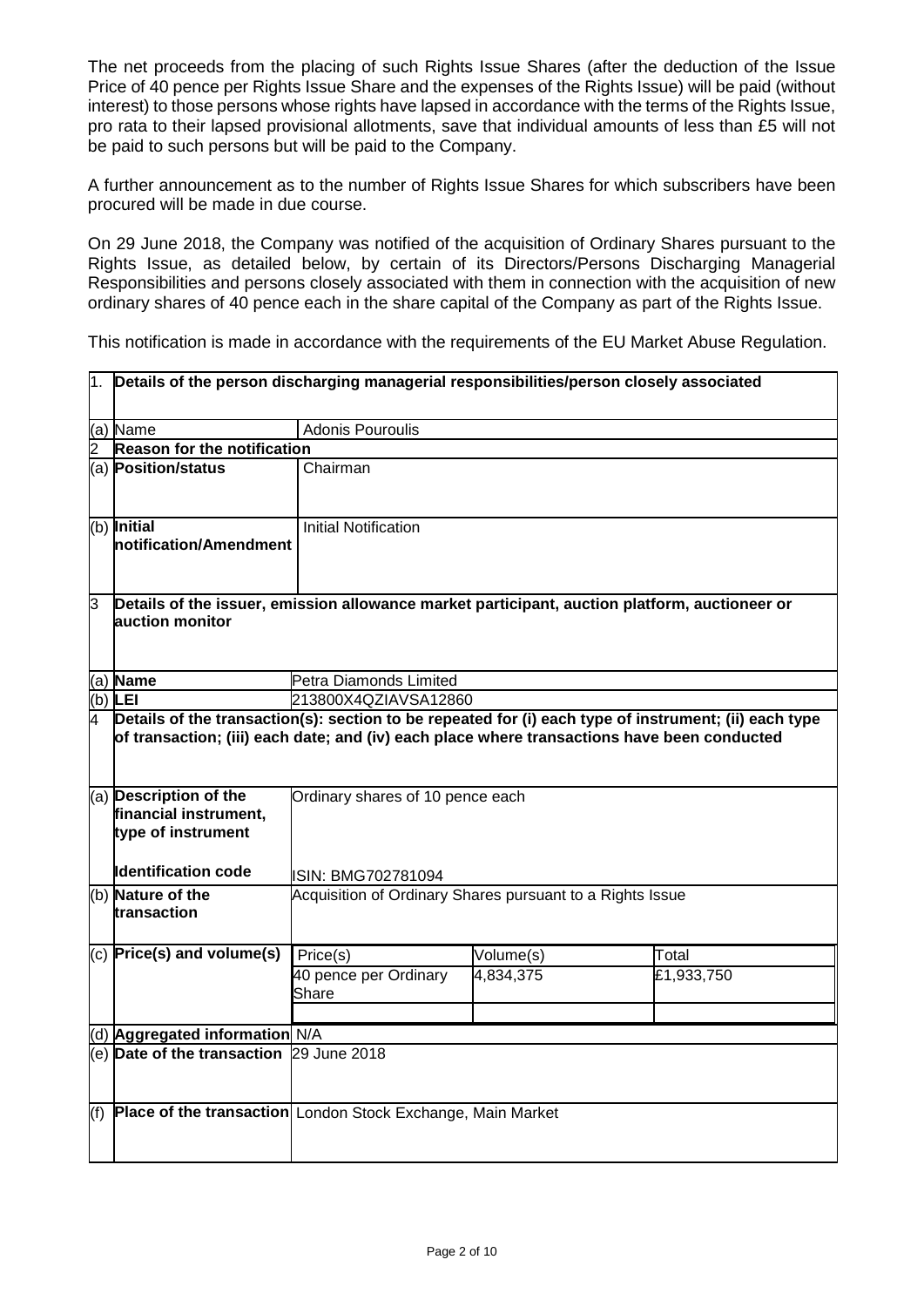The net proceeds from the placing of such Rights Issue Shares (after the deduction of the Issue Price of 40 pence per Rights Issue Share and the expenses of the Rights Issue) will be paid (without interest) to those persons whose rights have lapsed in accordance with the terms of the Rights Issue, pro rata to their lapsed provisional allotments, save that individual amounts of less than £5 will not be paid to such persons but will be paid to the Company.

A further announcement as to the number of Rights Issue Shares for which subscribers have been procured will be made in due course.

On 29 June 2018, the Company was notified of the acquisition of Ordinary Shares pursuant to the Rights Issue, as detailed below, by certain of its Directors/Persons Discharging Managerial Responsibilities and persons closely associated with them in connection with the acquisition of new ordinary shares of 40 pence each in the share capital of the Company as part of the Rights Issue.

This notification is made in accordance with the requirements of the EU Market Abuse Regulation.

| h.  | Details of the person discharging managerial responsibilities/person closely associated                           |                                                                                                                                                                                                                                          |           |            |  |
|-----|-------------------------------------------------------------------------------------------------------------------|------------------------------------------------------------------------------------------------------------------------------------------------------------------------------------------------------------------------------------------|-----------|------------|--|
|     | $(a)$ Name                                                                                                        | <b>Adonis Pouroulis</b>                                                                                                                                                                                                                  |           |            |  |
| 2   | <b>Reason for the notification</b>                                                                                |                                                                                                                                                                                                                                          |           |            |  |
|     | (a) Position/status                                                                                               | Chairman                                                                                                                                                                                                                                 |           |            |  |
|     | (b) Initial<br>Inotification/Amendment                                                                            | <b>Initial Notification</b>                                                                                                                                                                                                              |           |            |  |
| IЗ  | Details of the issuer, emission allowance market participant, auction platform, auctioneer or<br>lauction monitor |                                                                                                                                                                                                                                          |           |            |  |
|     | (a) Name                                                                                                          | Petra Diamonds Limited                                                                                                                                                                                                                   |           |            |  |
| (b) | <b>LEI</b>                                                                                                        | 213800X4QZIAVSA12860                                                                                                                                                                                                                     |           |            |  |
|     | (a) Description of the<br>financial instrument,<br>type of instrument                                             | Details of the transaction(s): section to be repeated for (i) each type of instrument; (ii) each type<br>of transaction; (iii) each date; and (iv) each place where transactions have been conducted<br>Ordinary shares of 10 pence each |           |            |  |
|     | <b>I</b> dentification code                                                                                       | ISIN: BMG702781094                                                                                                                                                                                                                       |           |            |  |
|     | (b) Nature of the<br>transaction                                                                                  | Acquisition of Ordinary Shares pursuant to a Rights Issue                                                                                                                                                                                |           |            |  |
|     | $(c)$ Price(s) and volume(s)                                                                                      | Price(s)                                                                                                                                                                                                                                 | Volume(s) | Total      |  |
|     |                                                                                                                   | 40 pence per Ordinary<br>Share                                                                                                                                                                                                           | 4,834,375 | £1,933,750 |  |
|     | (d) Aggregated information N/A                                                                                    |                                                                                                                                                                                                                                          |           |            |  |
|     | (e) Date of the transaction 29 June 2018                                                                          |                                                                                                                                                                                                                                          |           |            |  |
| (f) | Place of the transaction London Stock Exchange, Main Market                                                       |                                                                                                                                                                                                                                          |           |            |  |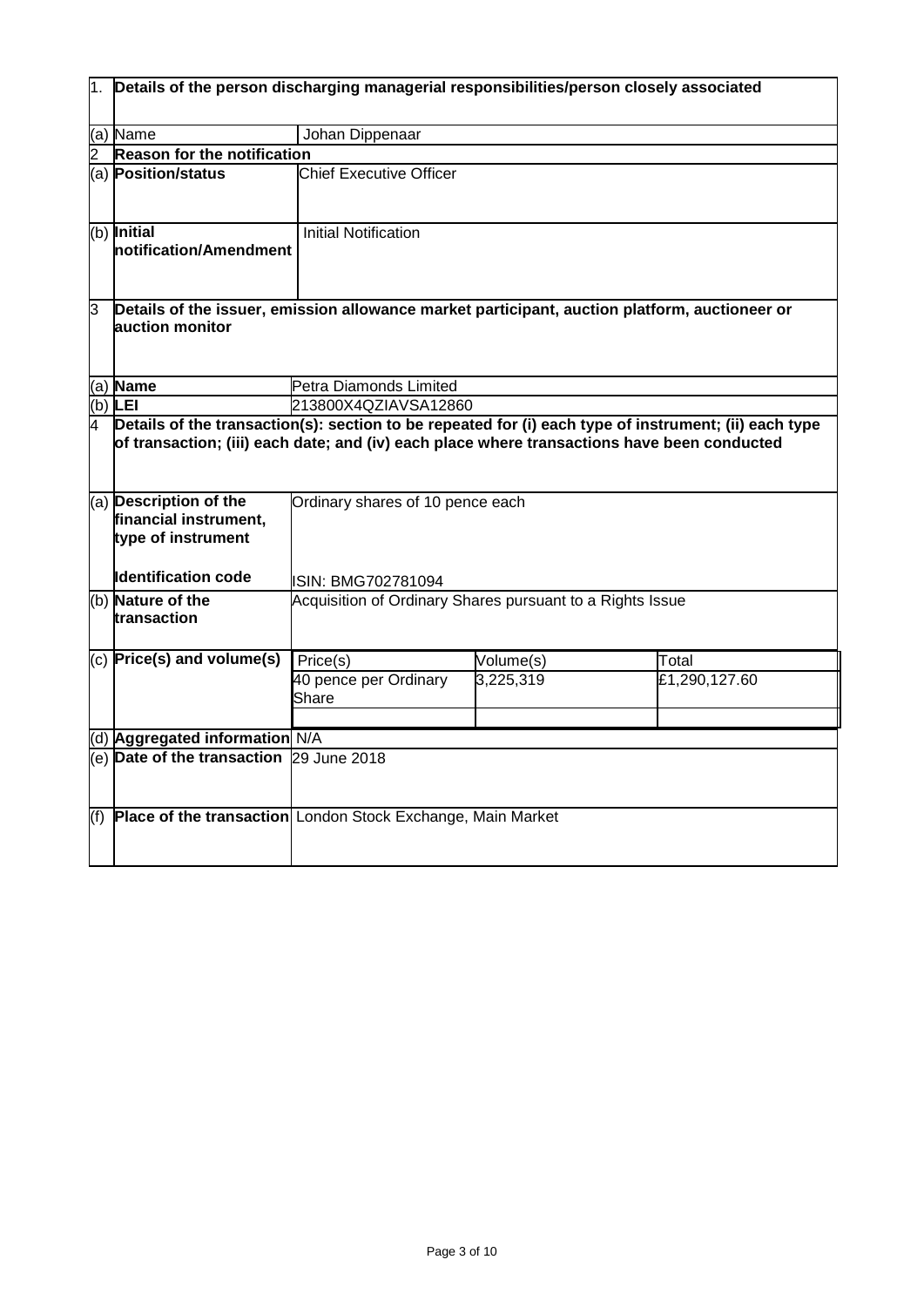| 1.  | Details of the person discharging managerial responsibilities/person closely associated                          |                                                                                                                                                                                                                                          |           |               |  |
|-----|------------------------------------------------------------------------------------------------------------------|------------------------------------------------------------------------------------------------------------------------------------------------------------------------------------------------------------------------------------------|-----------|---------------|--|
|     | (a) Name                                                                                                         | Johan Dippenaar                                                                                                                                                                                                                          |           |               |  |
|     | Reason for the notification                                                                                      |                                                                                                                                                                                                                                          |           |               |  |
|     | (a) Position/status                                                                                              | <b>Chief Executive Officer</b>                                                                                                                                                                                                           |           |               |  |
|     | (b) Initial<br>Inotification/Amendment                                                                           | <b>Initial Notification</b>                                                                                                                                                                                                              |           |               |  |
| 3   | Details of the issuer, emission allowance market participant, auction platform, auctioneer or<br>auction monitor |                                                                                                                                                                                                                                          |           |               |  |
|     | $(a)$ Name                                                                                                       | Petra Diamonds Limited                                                                                                                                                                                                                   |           |               |  |
|     | (b) $LEI$                                                                                                        | 213800X4QZIAVSA12860                                                                                                                                                                                                                     |           |               |  |
|     | (a) Description of the<br>financial instrument,                                                                  | Details of the transaction(s): section to be repeated for (i) each type of instrument; (ii) each type<br>of transaction; (iii) each date; and (iv) each place where transactions have been conducted<br>Ordinary shares of 10 pence each |           |               |  |
|     | type of instrument<br><b>Identification code</b>                                                                 | ISIN: BMG702781094                                                                                                                                                                                                                       |           |               |  |
|     | (b) Nature of the<br>transaction                                                                                 | Acquisition of Ordinary Shares pursuant to a Rights Issue                                                                                                                                                                                |           |               |  |
|     | $(c)$ Price(s) and volume(s)                                                                                     | Price(s)                                                                                                                                                                                                                                 | Volume(s) | Total         |  |
|     |                                                                                                                  | 40 pence per Ordinary<br>Share                                                                                                                                                                                                           | 3,225,319 | £1,290,127.60 |  |
|     | (d) Aggregated information N/A                                                                                   |                                                                                                                                                                                                                                          |           |               |  |
|     | (e) Date of the transaction 29 June 2018                                                                         |                                                                                                                                                                                                                                          |           |               |  |
| (f) | Place of the transaction London Stock Exchange, Main Market                                                      |                                                                                                                                                                                                                                          |           |               |  |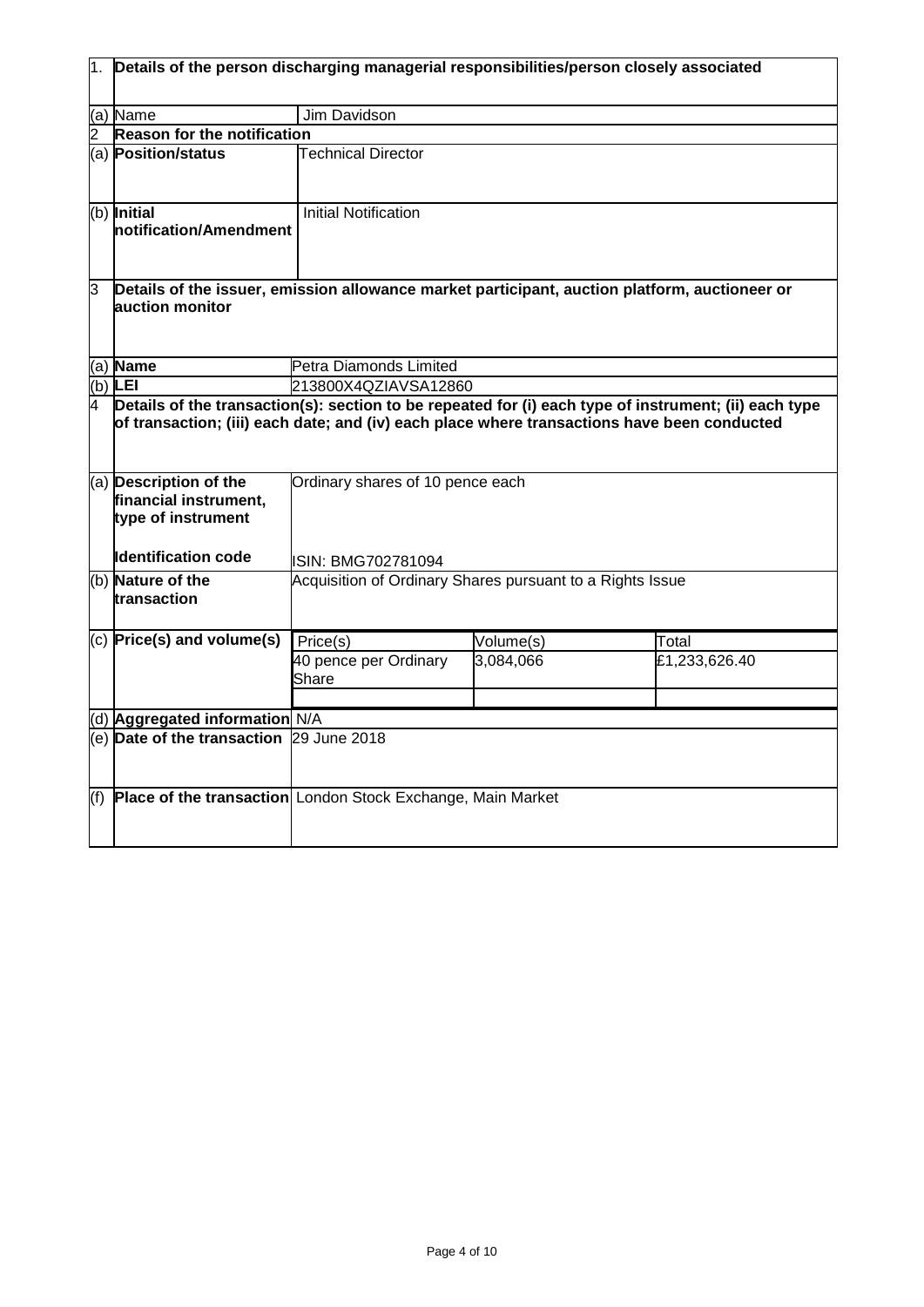|     | Details of the person discharging managerial responsibilities/person closely associated                          |                                                                                                                                                                                                                                          |           |               |  |
|-----|------------------------------------------------------------------------------------------------------------------|------------------------------------------------------------------------------------------------------------------------------------------------------------------------------------------------------------------------------------------|-----------|---------------|--|
|     | (a) Name                                                                                                         | Jim Davidson                                                                                                                                                                                                                             |           |               |  |
|     | Reason for the notification                                                                                      |                                                                                                                                                                                                                                          |           |               |  |
|     | (a) Position/status                                                                                              | <b>Technical Director</b>                                                                                                                                                                                                                |           |               |  |
|     | (b) Initial<br><b>Inotification/Amendment</b>                                                                    | <b>Initial Notification</b>                                                                                                                                                                                                              |           |               |  |
| 3   | Details of the issuer, emission allowance market participant, auction platform, auctioneer or<br>auction monitor |                                                                                                                                                                                                                                          |           |               |  |
|     | (a) Name                                                                                                         | Petra Diamonds Limited                                                                                                                                                                                                                   |           |               |  |
|     | (b) $LEI$                                                                                                        | 213800X4QZIAVSA12860                                                                                                                                                                                                                     |           |               |  |
| 4   | (a) Description of the                                                                                           | Details of the transaction(s): section to be repeated for (i) each type of instrument; (ii) each type<br>of transaction; (iii) each date; and (iv) each place where transactions have been conducted<br>Ordinary shares of 10 pence each |           |               |  |
|     | financial instrument,<br>type of instrument<br><b>Identification code</b>                                        | ISIN: BMG702781094                                                                                                                                                                                                                       |           |               |  |
|     | (b) Nature of the<br>transaction                                                                                 | Acquisition of Ordinary Shares pursuant to a Rights Issue                                                                                                                                                                                |           |               |  |
|     | $(c)$ Price(s) and volume(s)                                                                                     | $\overline{Price}(s)$                                                                                                                                                                                                                    | Volume(s) | Total         |  |
|     |                                                                                                                  | 40 pence per Ordinary<br>Share                                                                                                                                                                                                           | 3,084,066 | £1,233,626.40 |  |
|     | (d) Aggregated information N/A                                                                                   |                                                                                                                                                                                                                                          |           |               |  |
|     | (e) Date of the transaction 29 June 2018                                                                         |                                                                                                                                                                                                                                          |           |               |  |
| (f) | Place of the transaction London Stock Exchange, Main Market                                                      |                                                                                                                                                                                                                                          |           |               |  |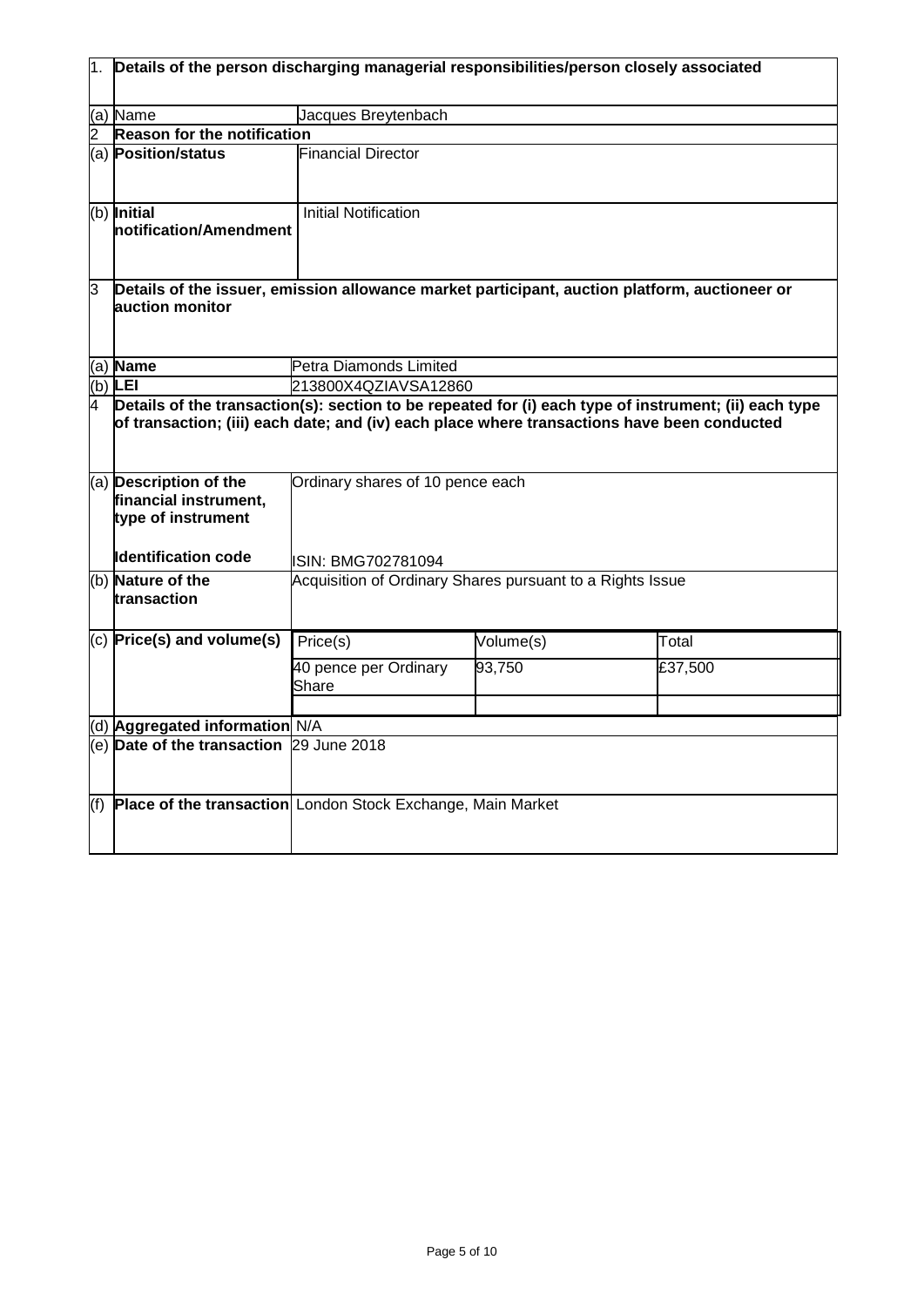|     | Details of the person discharging managerial responsibilities/person closely associated                                                                                                                                                                                                     |                                                           |           |         |  |
|-----|---------------------------------------------------------------------------------------------------------------------------------------------------------------------------------------------------------------------------------------------------------------------------------------------|-----------------------------------------------------------|-----------|---------|--|
|     | (a) Name                                                                                                                                                                                                                                                                                    | Jacques Breytenbach                                       |           |         |  |
|     | Reason for the notification                                                                                                                                                                                                                                                                 |                                                           |           |         |  |
|     | (a) Position/status                                                                                                                                                                                                                                                                         | <b>Financial Director</b>                                 |           |         |  |
|     | (b) Initial<br>notification/Amendment                                                                                                                                                                                                                                                       | <b>Initial Notification</b>                               |           |         |  |
| 3   | Details of the issuer, emission allowance market participant, auction platform, auctioneer or<br>auction monitor                                                                                                                                                                            |                                                           |           |         |  |
|     | (a) Name                                                                                                                                                                                                                                                                                    | Petra Diamonds Limited                                    |           |         |  |
|     | (b) LEI                                                                                                                                                                                                                                                                                     | 213800X4QZIAVSA12860                                      |           |         |  |
| 4   | Details of the transaction(s): section to be repeated for (i) each type of instrument; (ii) each type<br>of transaction; (iii) each date; and (iv) each place where transactions have been conducted<br>(a) Description of the<br>Ordinary shares of 10 pence each<br>financial instrument, |                                                           |           |         |  |
|     | type of instrument<br><b>Identification code</b>                                                                                                                                                                                                                                            | ISIN: BMG702781094                                        |           |         |  |
|     | (b) Nature of the<br>transaction                                                                                                                                                                                                                                                            | Acquisition of Ordinary Shares pursuant to a Rights Issue |           |         |  |
|     | $(c)$ Price(s) and volume(s)                                                                                                                                                                                                                                                                | Price(s)                                                  | Volume(s) | Total   |  |
|     |                                                                                                                                                                                                                                                                                             | 40 pence per Ordinary<br>Share                            | 93,750    | £37,500 |  |
|     | d) Aggregated information N/A                                                                                                                                                                                                                                                               |                                                           |           |         |  |
|     | (e) Date of the transaction 29 June 2018                                                                                                                                                                                                                                                    |                                                           |           |         |  |
| (f) | Place of the transaction London Stock Exchange, Main Market                                                                                                                                                                                                                                 |                                                           |           |         |  |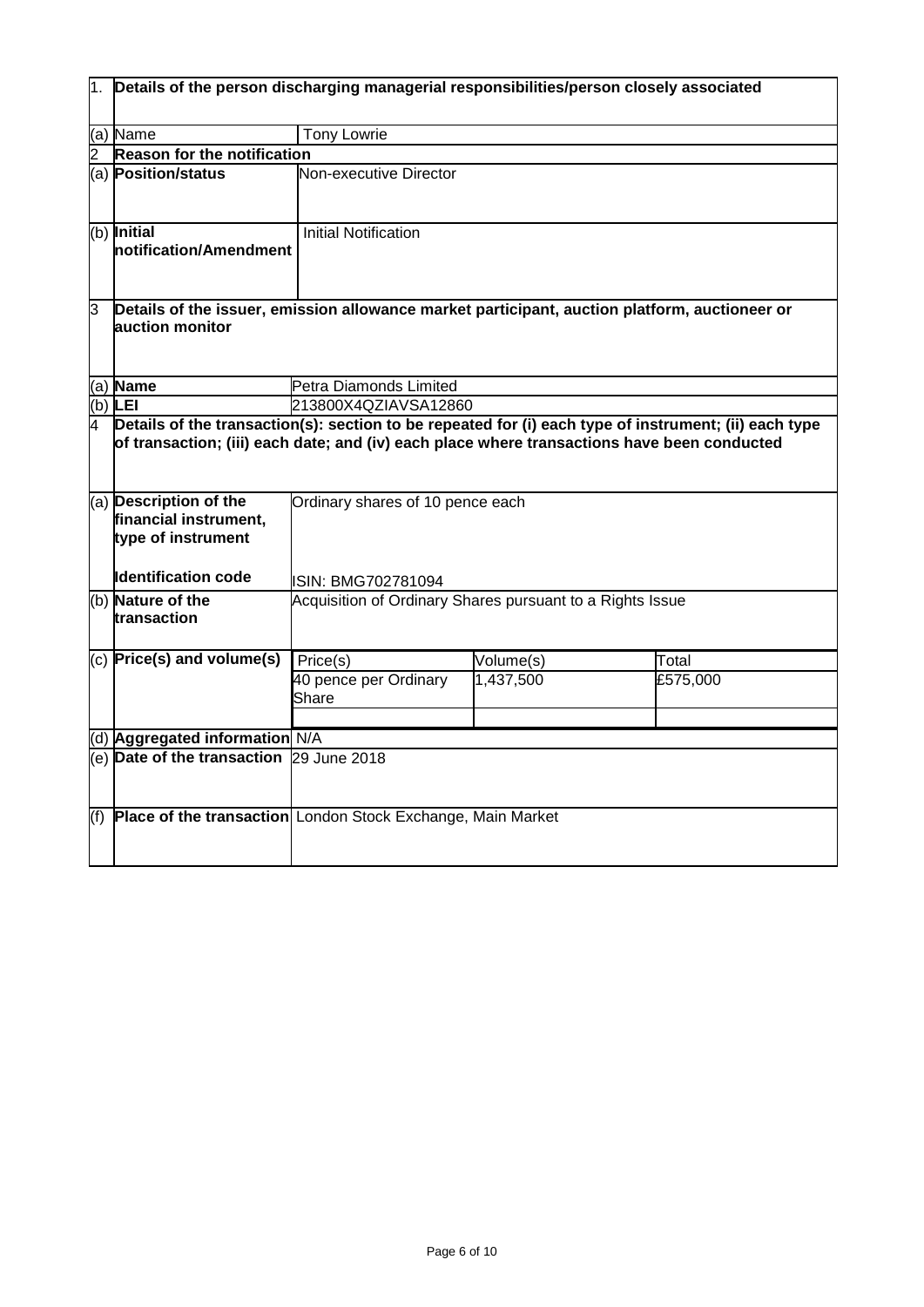|     | $ 1. $ Details of the person discharging managerial responsibilities/person closely associated                   |                                                                                                                                                                                                                                          |           |          |  |
|-----|------------------------------------------------------------------------------------------------------------------|------------------------------------------------------------------------------------------------------------------------------------------------------------------------------------------------------------------------------------------|-----------|----------|--|
|     | (a) Name                                                                                                         | <b>Tony Lowrie</b>                                                                                                                                                                                                                       |           |          |  |
|     | <b>Reason for the notification</b>                                                                               |                                                                                                                                                                                                                                          |           |          |  |
|     | (a) Position/status                                                                                              | Non-executive Director                                                                                                                                                                                                                   |           |          |  |
|     | (b) Initial<br>Inotification/Amendment                                                                           | <b>Initial Notification</b>                                                                                                                                                                                                              |           |          |  |
| 3   | Details of the issuer, emission allowance market participant, auction platform, auctioneer or<br>auction monitor |                                                                                                                                                                                                                                          |           |          |  |
|     | (a) Name                                                                                                         | Petra Diamonds Limited                                                                                                                                                                                                                   |           |          |  |
|     | $(b)$ LEI                                                                                                        | 213800X4QZIAVSA12860                                                                                                                                                                                                                     |           |          |  |
|     | (a) Description of the<br>financial instrument,<br>type of instrument                                            | Details of the transaction(s): section to be repeated for (i) each type of instrument; (ii) each type<br>of transaction; (iii) each date; and (iv) each place where transactions have been conducted<br>Ordinary shares of 10 pence each |           |          |  |
|     | <b>Identification code</b>                                                                                       | ISIN: BMG702781094                                                                                                                                                                                                                       |           |          |  |
|     | (b) Nature of the<br>transaction                                                                                 | Acquisition of Ordinary Shares pursuant to a Rights Issue                                                                                                                                                                                |           |          |  |
|     | $(c)$ Price(s) and volume(s)                                                                                     | $\overline{Price}(s)$                                                                                                                                                                                                                    | Volume(s) | Total    |  |
|     |                                                                                                                  | 40 pence per Ordinary<br>Share                                                                                                                                                                                                           | 1,437,500 | £575,000 |  |
|     | (d) Aggregated information N/A                                                                                   |                                                                                                                                                                                                                                          |           |          |  |
|     | (e) Date of the transaction 29 June 2018                                                                         |                                                                                                                                                                                                                                          |           |          |  |
| (f) | Place of the transaction London Stock Exchange, Main Market                                                      |                                                                                                                                                                                                                                          |           |          |  |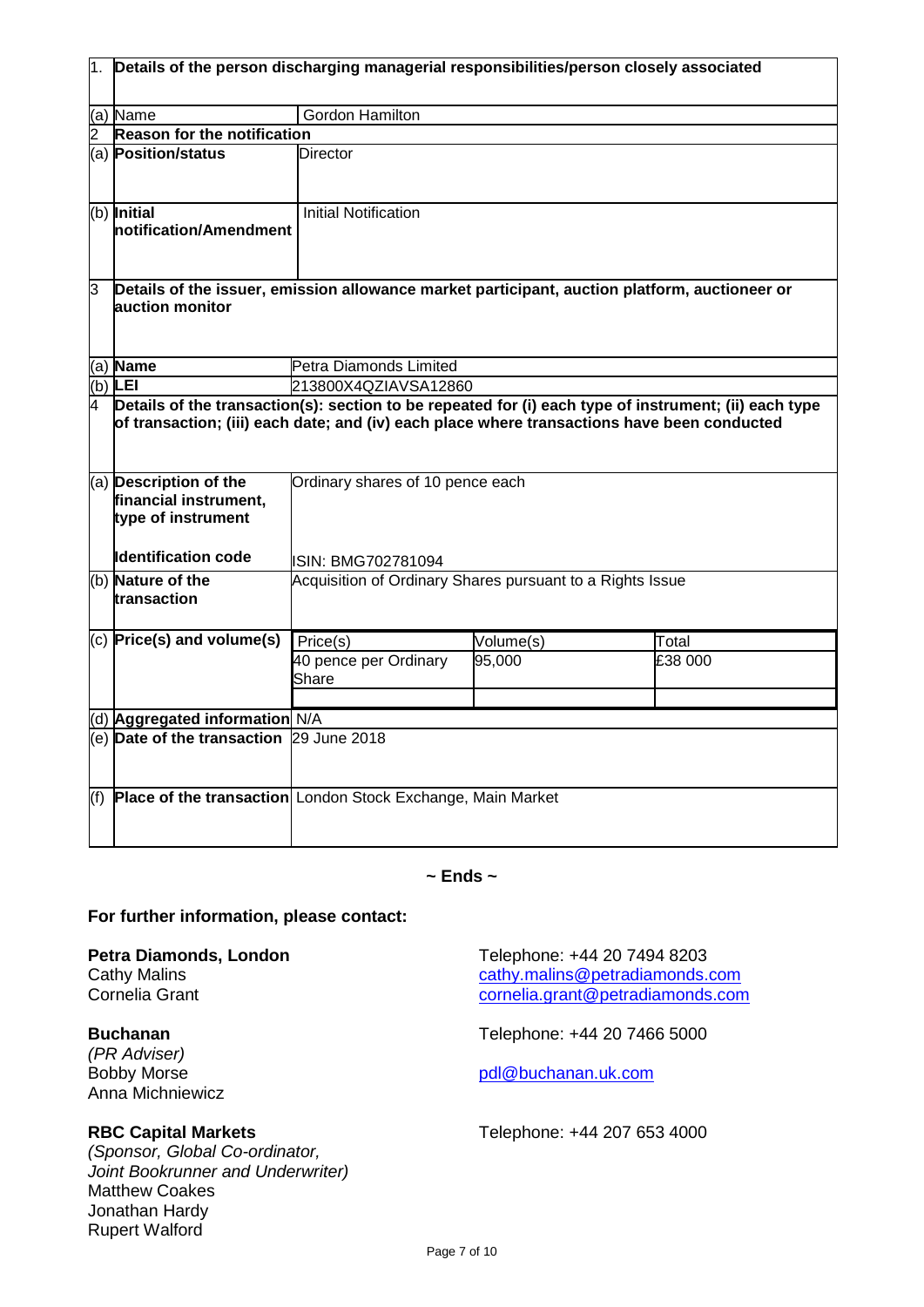| 1.  | Details of the person discharging managerial responsibilities/person closely associated                          |                                                                                                                                                                                                                                          |           |         |  |
|-----|------------------------------------------------------------------------------------------------------------------|------------------------------------------------------------------------------------------------------------------------------------------------------------------------------------------------------------------------------------------|-----------|---------|--|
|     | (a) Name                                                                                                         | Gordon Hamilton                                                                                                                                                                                                                          |           |         |  |
|     | Reason for the notification                                                                                      |                                                                                                                                                                                                                                          |           |         |  |
|     | (a) Position/status                                                                                              | <b>Director</b>                                                                                                                                                                                                                          |           |         |  |
|     | (b) Initial<br>notification/Amendment                                                                            | <b>Initial Notification</b>                                                                                                                                                                                                              |           |         |  |
| 3   | Details of the issuer, emission allowance market participant, auction platform, auctioneer or<br>auction monitor |                                                                                                                                                                                                                                          |           |         |  |
|     | (a) Name                                                                                                         | Petra Diamonds Limited                                                                                                                                                                                                                   |           |         |  |
|     | $(b)$ LEI                                                                                                        | 213800X4QZIAVSA12860                                                                                                                                                                                                                     |           |         |  |
| 4   | (a) Description of the                                                                                           | Details of the transaction(s): section to be repeated for (i) each type of instrument; (ii) each type<br>of transaction; (iii) each date; and (iv) each place where transactions have been conducted<br>Ordinary shares of 10 pence each |           |         |  |
|     | financial instrument,<br>type of instrument<br><b>Identification code</b>                                        |                                                                                                                                                                                                                                          |           |         |  |
|     |                                                                                                                  | ISIN: BMG702781094                                                                                                                                                                                                                       |           |         |  |
|     | (b) Nature of the<br>transaction                                                                                 | Acquisition of Ordinary Shares pursuant to a Rights Issue                                                                                                                                                                                |           |         |  |
|     | $(c)$ Price(s) and volume(s)                                                                                     | Price(s)                                                                                                                                                                                                                                 | Volume(s) | Total   |  |
|     |                                                                                                                  | 40 pence per Ordinary<br>Share                                                                                                                                                                                                           | 95,000    | £38 000 |  |
|     | (d) Aggregated information N/A                                                                                   |                                                                                                                                                                                                                                          |           |         |  |
|     | (e) Date of the transaction 29 June 2018                                                                         |                                                                                                                                                                                                                                          |           |         |  |
| (f) | Place of the transaction London Stock Exchange, Main Market                                                      |                                                                                                                                                                                                                                          |           |         |  |

## **~ Ends ~**

## **For further information, please contact:**

*(PR Adviser)* Anna Michniewicz

*(Sponsor, Global Co-ordinator, Joint Bookrunner and Underwriter)* Matthew Coakes Jonathan Hardy Rupert Walford

**Petra Diamonds, London**<br>Cathy Malins Cathy Malins Cathy Malins Cathy Malins Cathy Malins Context Cathy Malins Context Cathy Malins Context Cathy Malins Context Cathy Malins Context Cathy Malins Context Cathy Malins Contex Cathy Malins<br>
Cornelia Grant<br>
Cornelia Grant<br>
Cornelia Grant<br>
Cornelia Grant<br>
Cornelia Grant<br>
Cornelia Grant<br>
Cornelia Grant<br>
Cornelia Grant<br>
Cornelia Grant<br>
Cornelia Grant<br>
Cornelia Grant<br>
Cornelia Grant<br>
Cornelia Grant<br> [cornelia.grant@petradiamonds.com](mailto:cornelia.grant@petradiamonds.com)

**Buchanan** Telephone: +44 20 7466 5000

[pdl@buchanan.uk.com](mailto:pdl@buchanan.uk.com)

**RBC Capital Markets** Telephone: +44 207 653 4000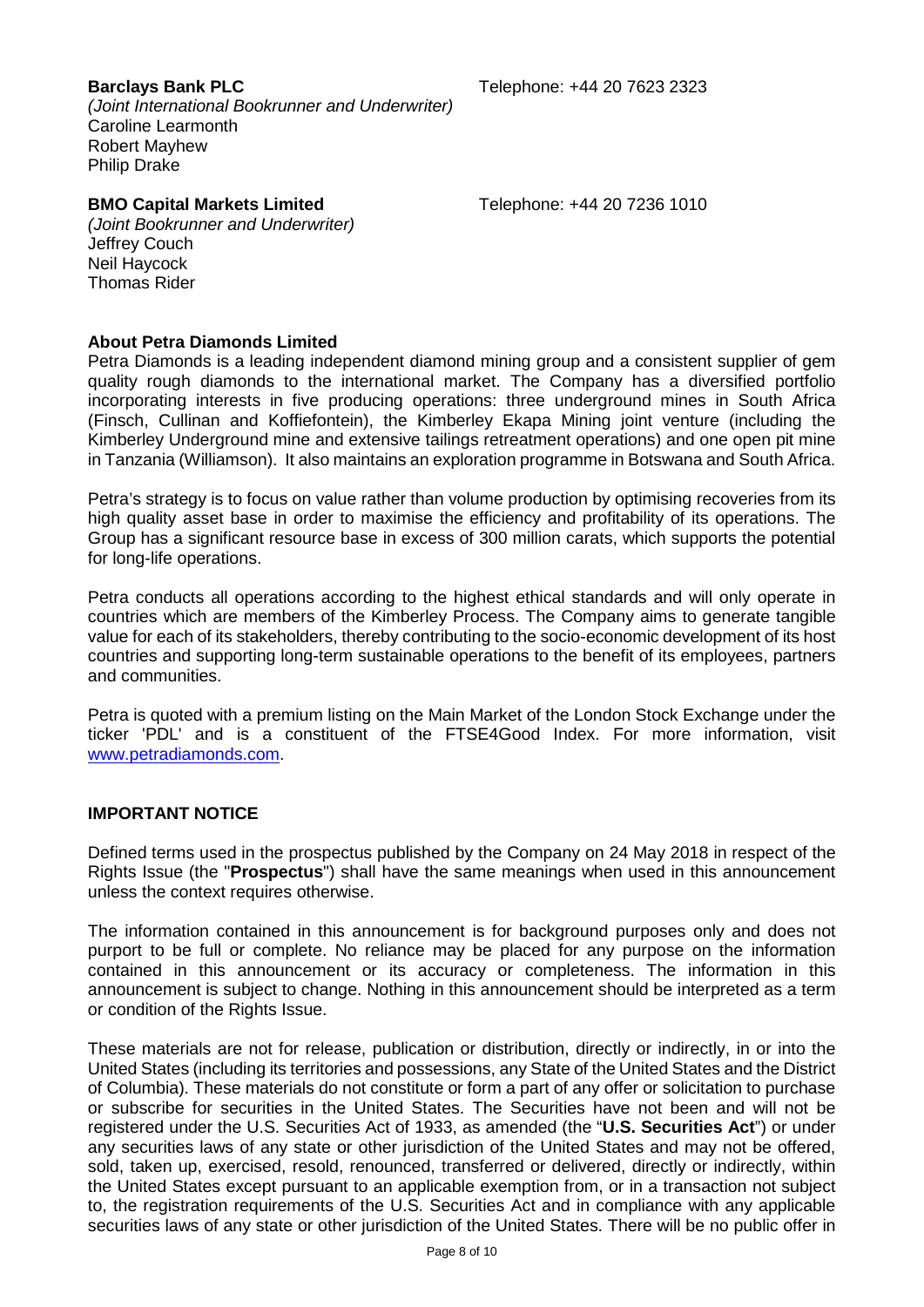*(Joint International Bookrunner and Underwriter)* Caroline Learmonth Robert Mayhew Philip Drake

### **BMO Capital Markets Limited** Telephone: +44 20 7236 1010

*(Joint Bookrunner and Underwriter)* Jeffrey Couch Neil Haycock Thomas Rider

### **About Petra Diamonds Limited**

Petra Diamonds is a leading independent diamond mining group and a consistent supplier of gem quality rough diamonds to the international market. The Company has a diversified portfolio incorporating interests in five producing operations: three underground mines in South Africa (Finsch, Cullinan and Koffiefontein), the Kimberley Ekapa Mining joint venture (including the Kimberley Underground mine and extensive tailings retreatment operations) and one open pit mine in Tanzania (Williamson). It also maintains an exploration programme in Botswana and South Africa.

Petra's strategy is to focus on value rather than volume production by optimising recoveries from its high quality asset base in order to maximise the efficiency and profitability of its operations. The Group has a significant resource base in excess of 300 million carats, which supports the potential for long-life operations.

Petra conducts all operations according to the highest ethical standards and will only operate in countries which are members of the Kimberley Process. The Company aims to generate tangible value for each of its stakeholders, thereby contributing to the socio-economic development of its host countries and supporting long-term sustainable operations to the benefit of its employees, partners and communities.

Petra is quoted with a premium listing on the Main Market of the London Stock Exchange under the ticker 'PDL' and is a constituent of the FTSE4Good Index. For more information, visit [www.petradiamonds.com.](http://www.petradiamonds.com/)

## **IMPORTANT NOTICE**

Defined terms used in the prospectus published by the Company on 24 May 2018 in respect of the Rights Issue (the "**Prospectus**") shall have the same meanings when used in this announcement unless the context requires otherwise.

The information contained in this announcement is for background purposes only and does not purport to be full or complete. No reliance may be placed for any purpose on the information contained in this announcement or its accuracy or completeness. The information in this announcement is subject to change. Nothing in this announcement should be interpreted as a term or condition of the Rights Issue.

These materials are not for release, publication or distribution, directly or indirectly, in or into the United States (including its territories and possessions, any State of the United States and the District of Columbia). These materials do not constitute or form a part of any offer or solicitation to purchase or subscribe for securities in the United States. The Securities have not been and will not be registered under the U.S. Securities Act of 1933, as amended (the "**U.S. Securities Act**") or under any securities laws of any state or other jurisdiction of the United States and may not be offered, sold, taken up, exercised, resold, renounced, transferred or delivered, directly or indirectly, within the United States except pursuant to an applicable exemption from, or in a transaction not subject to, the registration requirements of the U.S. Securities Act and in compliance with any applicable securities laws of any state or other jurisdiction of the United States. There will be no public offer in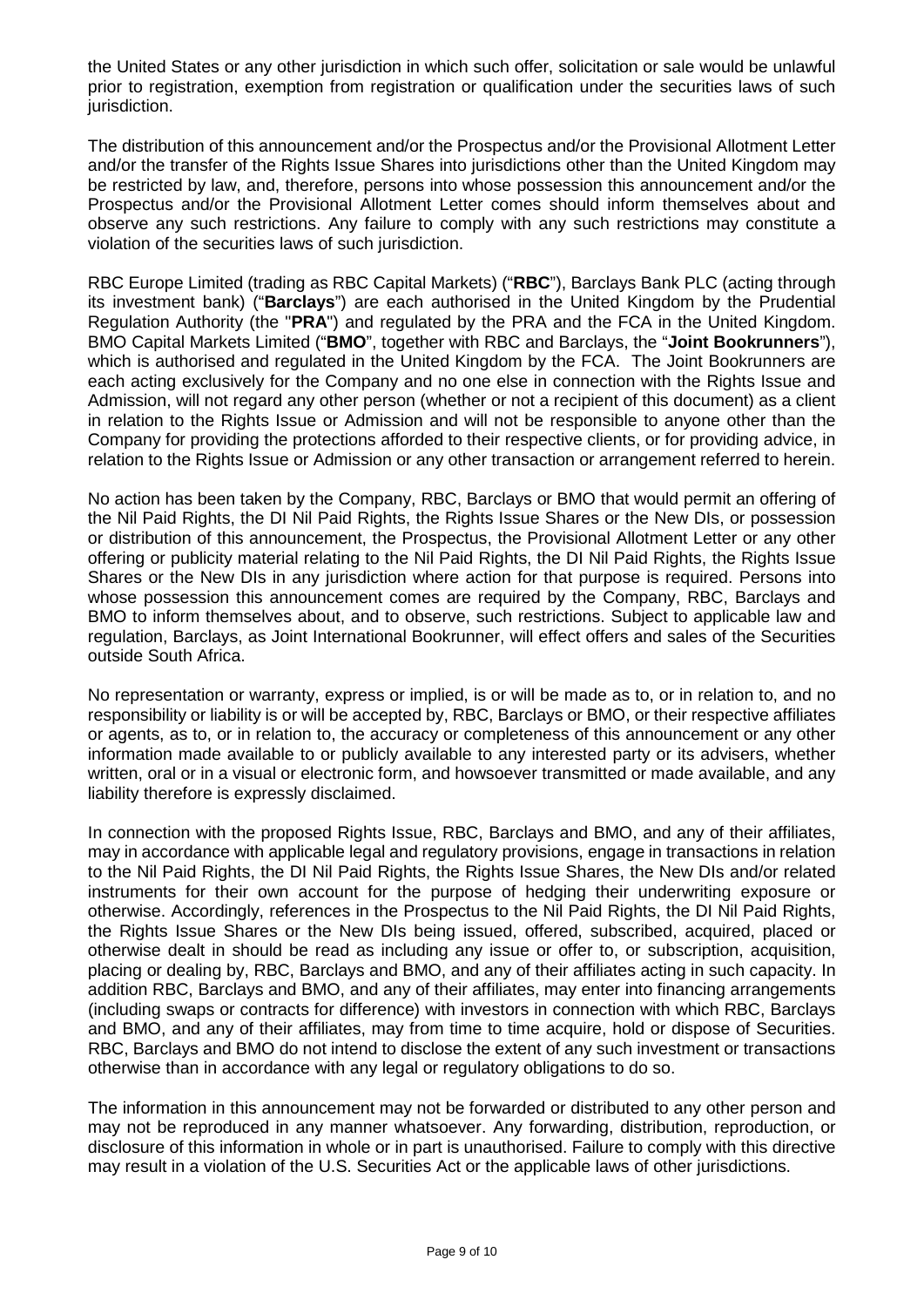the United States or any other jurisdiction in which such offer, solicitation or sale would be unlawful prior to registration, exemption from registration or qualification under the securities laws of such jurisdiction.

The distribution of this announcement and/or the Prospectus and/or the Provisional Allotment Letter and/or the transfer of the Rights Issue Shares into jurisdictions other than the United Kingdom may be restricted by law, and, therefore, persons into whose possession this announcement and/or the Prospectus and/or the Provisional Allotment Letter comes should inform themselves about and observe any such restrictions. Any failure to comply with any such restrictions may constitute a violation of the securities laws of such jurisdiction.

RBC Europe Limited (trading as RBC Capital Markets) ("**RBC**"), Barclays Bank PLC (acting through its investment bank) ("**Barclays**") are each authorised in the United Kingdom by the Prudential Regulation Authority (the "**PRA**") and regulated by the PRA and the FCA in the United Kingdom. BMO Capital Markets Limited ("**BMO**", together with RBC and Barclays, the "**Joint Bookrunners**"), which is authorised and regulated in the United Kingdom by the FCA. The Joint Bookrunners are each acting exclusively for the Company and no one else in connection with the Rights Issue and Admission, will not regard any other person (whether or not a recipient of this document) as a client in relation to the Rights Issue or Admission and will not be responsible to anyone other than the Company for providing the protections afforded to their respective clients, or for providing advice, in relation to the Rights Issue or Admission or any other transaction or arrangement referred to herein.

No action has been taken by the Company, RBC, Barclays or BMO that would permit an offering of the Nil Paid Rights, the DI Nil Paid Rights, the Rights Issue Shares or the New DIs, or possession or distribution of this announcement, the Prospectus, the Provisional Allotment Letter or any other offering or publicity material relating to the Nil Paid Rights, the DI Nil Paid Rights, the Rights Issue Shares or the New DIs in any jurisdiction where action for that purpose is required. Persons into whose possession this announcement comes are required by the Company, RBC, Barclays and BMO to inform themselves about, and to observe, such restrictions. Subject to applicable law and regulation, Barclays, as Joint International Bookrunner, will effect offers and sales of the Securities outside South Africa.

No representation or warranty, express or implied, is or will be made as to, or in relation to, and no responsibility or liability is or will be accepted by, RBC, Barclays or BMO, or their respective affiliates or agents, as to, or in relation to, the accuracy or completeness of this announcement or any other information made available to or publicly available to any interested party or its advisers, whether written, oral or in a visual or electronic form, and howsoever transmitted or made available, and any liability therefore is expressly disclaimed.

In connection with the proposed Rights Issue, RBC, Barclays and BMO, and any of their affiliates, may in accordance with applicable legal and regulatory provisions, engage in transactions in relation to the Nil Paid Rights, the DI Nil Paid Rights, the Rights Issue Shares, the New DIs and/or related instruments for their own account for the purpose of hedging their underwriting exposure or otherwise. Accordingly, references in the Prospectus to the Nil Paid Rights, the DI Nil Paid Rights, the Rights Issue Shares or the New DIs being issued, offered, subscribed, acquired, placed or otherwise dealt in should be read as including any issue or offer to, or subscription, acquisition, placing or dealing by, RBC, Barclays and BMO, and any of their affiliates acting in such capacity. In addition RBC, Barclays and BMO, and any of their affiliates, may enter into financing arrangements (including swaps or contracts for difference) with investors in connection with which RBC, Barclays and BMO, and any of their affiliates, may from time to time acquire, hold or dispose of Securities. RBC, Barclays and BMO do not intend to disclose the extent of any such investment or transactions otherwise than in accordance with any legal or regulatory obligations to do so.

The information in this announcement may not be forwarded or distributed to any other person and may not be reproduced in any manner whatsoever. Any forwarding, distribution, reproduction, or disclosure of this information in whole or in part is unauthorised. Failure to comply with this directive may result in a violation of the U.S. Securities Act or the applicable laws of other jurisdictions.